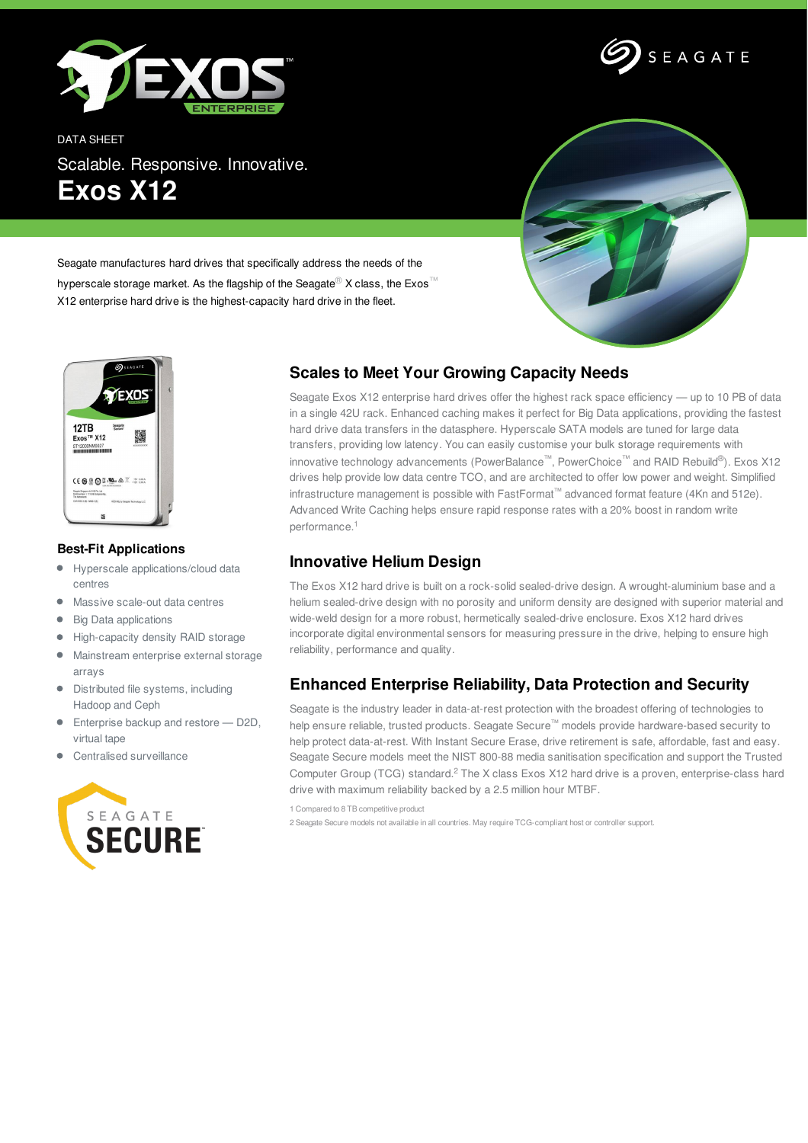



DATA SHEET Scalable. Responsive. Innovative. **Exos X12**



Seagate manufactures hard drives that specifically address the needs of the

hyperscale storage market. As the flagship of the Seagate<sup>®</sup> X class, the Exos<sup>™</sup> X12 enterprise hard drive is the highest-capacity hard drive in the fleet.



## **Best-Fit Applications**

- $\bullet$ Hyperscale applications/cloud data centres
- Massive scale-out data centres
- Big Data applications  $\bullet$
- High-capacity density RAID storage  $\bullet$
- Mainstream enterprise external storage arrays
- $\bullet$ Distributed file systems, including Hadoop and Ceph
- **Enterprise backup and restore D2D,** virtual tape
- Centralised surveillance



## **Scales to Meet Your Growing Capacity Needs**

Seagate Exos X12 enterprise hard drives offer the highest rack space efficiency — up to 10 PB of data in a single 42U rack. Enhanced caching makes it perfect for Big Data applications, providing the fastest hard drive data transfers in the datasphere. Hyperscale SATA models are tuned for large data transfers, providing low latency. You can easily customise your bulk storage requirements with innovative technology advancements (PowerBalance™, PowerChoice™ and RAID Rebuild ®). Exos X12 drives help provide low data centre TCO, and are architected to offer low power and weight. Simplified infrastructure management is possible with FastFormat™ advanced format feature (4Kn and 512e). Advanced Write Caching helps ensure rapid response rates with a 20% boost in random write performance. 1

## **Innovative Helium Design**

The Exos X12 hard drive is built on a rock-solid sealed-drive design. A wrought-aluminium base and a helium sealed-drive design with no porosity and uniform density are designed with superior material and wide-weld design for a more robust, hermetically sealed-drive enclosure. Exos X12 hard drives incorporate digital environmental sensors for measuring pressure in the drive, helping to ensure high reliability, performance and quality.

## **Enhanced Enterprise Reliability, Data Protection and Security**

Seagate is the industry leader in data-at-rest protection with the broadest offering of technologies to help ensure reliable, trusted products. Seagate Secure™ models provide hardware-based security to help protect data-at-rest. With Instant Secure Erase, drive retirement is safe, affordable, fast and easy. Seagate Secure models meet the NIST 800-88 media sanitisation specification and support the Trusted Computer Group (TCG) standard.<sup>2</sup> The X class Exos X12 hard drive is a proven, enterprise-class hard drive with maximum reliability backed by a 2.5 million hour MTBF.

1 Compared to 8 TB competitive product

2 Seagate Secure models not available in all countries. May require TCG-compliant host or controller support.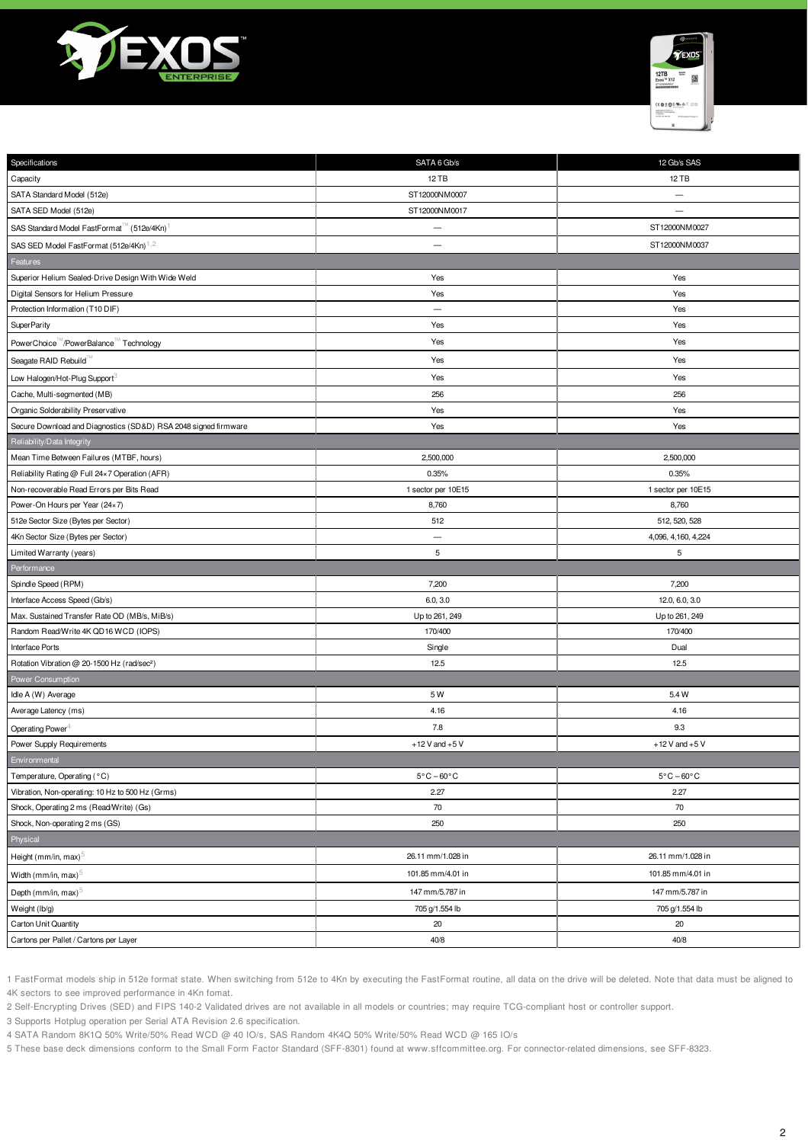



| Specifications                                                  | SATA 6 Gb/s                     | 12 Gb/s SAS                     |
|-----------------------------------------------------------------|---------------------------------|---------------------------------|
| Capacity                                                        | 12 TB                           | 12 TB                           |
| SATA Standard Model (512e)                                      | ST12000NM0007                   | $\overline{\phantom{m}}$        |
| SATA SED Model (512e)                                           | ST12000NM0017                   | $\overline{\phantom{0}}$        |
| SAS Standard Model FastFormat™ (512e/4Kn)                       | $\overline{\phantom{0}}$        | ST12000NM0027                   |
| SAS SED Model FastFormat (512e/4Kn) <sup>1,2</sup>              | $\overline{\phantom{0}}$        | ST12000NM0037                   |
| Features                                                        |                                 |                                 |
| Superior Helium Sealed-Drive Design With Wide Weld              | Yes                             | Yes                             |
| Digital Sensors for Helium Pressure                             | Yes                             | Yes                             |
| Protection Information (T10 DIF)                                |                                 | Yes                             |
| <b>SuperParity</b>                                              | Yes                             | Yes                             |
| PowerChoice <sup>™</sup> /PowerBalance™ Technology              | Yes                             | Yes                             |
| Seagate RAID Rebuild                                            | Yes                             | Yes                             |
| Low Halogen/Hot-Plug Support <sup>3</sup>                       | Yes                             | Yes                             |
| Cache, Multi-segmented (MB)                                     | 256                             | 256                             |
| Organic Solderability Preservative                              | Yes                             | Yes                             |
| Secure Download and Diagnostics (SD&D) RSA 2048 signed firmware | Yes                             | Yes                             |
| Reliability/Data Integrity                                      |                                 |                                 |
| Mean Time Between Failures (MTBF, hours)                        | 2,500,000                       | 2,500,000                       |
| Reliability Rating @ Full 24×7 Operation (AFR)                  | 0.35%                           | 0.35%                           |
| Non-recoverable Read Errors per Bits Read                       | 1 sector per 10E15              | 1 sector per 10E15              |
| Power-On Hours per Year (24×7)                                  | 8,760                           | 8,760                           |
| 512e Sector Size (Bytes per Sector)                             | 512                             | 512, 520, 528                   |
| 4Kn Sector Size (Bytes per Sector)                              | $\overline{\phantom{0}}$        | 4,096, 4,160, 4,224             |
| Limited Warranty (years)                                        | 5                               | 5                               |
| Performance                                                     |                                 |                                 |
| Spindle Speed (RPM)                                             | 7,200                           | 7,200                           |
| Interface Access Speed (Gb/s)                                   | 6.0, 3.0                        | 12.0, 6.0, 3.0                  |
| Max. Sustained Transfer Rate OD (MB/s, MiB/s)                   | Up to 261, 249                  | Up to 261, 249                  |
| Random Read/Write 4K QD16 WCD (IOPS)                            | 170/400                         | 170/400                         |
| <b>Interface Ports</b>                                          | Single                          | Dual                            |
| Rotation Vibration @ 20-1500 Hz (rad/sec <sup>2</sup> )         | 12.5                            | 12.5                            |
| Power Consumption                                               |                                 |                                 |
| Idle A (W) Average                                              | 5W                              | 5.4 W                           |
| Average Latency (ms)                                            | 4.16                            | 4.16                            |
| Operating Power <sup>4</sup>                                    | 7.8                             | 9.3                             |
| Power Supply Requirements                                       | $+12$ V and $+5$ V              | $+12$ V and $+5$ V              |
| Environmental                                                   |                                 |                                 |
| Temperature, Operating (°C)                                     | $5^{\circ}$ C – 60 $^{\circ}$ C | $5^{\circ}$ C – 60 $^{\circ}$ C |
| Vibration, Non-operating: 10 Hz to 500 Hz (Grms)                | 2.27                            | 2.27                            |
| Shock, Operating 2 ms (Read/Write) (Gs)                         | 70                              | 70                              |
| Shock, Non-operating 2 ms (GS)                                  | 250                             | 250                             |
| Physical                                                        |                                 |                                 |
| Height (mm/in, max) <sup>5</sup>                                | 26.11 mm/1.028 in               | 26.11 mm/1.028 in               |
| Width (mm/in, max) $5$                                          | 101.85 mm/4.01 in               | 101.85 mm/4.01 in               |
| Depth (mm/in, max) $5$                                          | 147 mm/5.787 in                 | 147 mm/5.787 in                 |
| Weight (lb/g)                                                   | 705 g/1.554 lb                  | 705 g/1.554 lb                  |
| Carton Unit Quantity                                            | 20                              | 20                              |
| Cartons per Pallet / Cartons per Layer                          | 40/8                            | 40/8                            |

1 FastFormat models ship in 512e format state. When switching from 512e to 4Kn by executing the FastFormat routine, all data on the drive will be deleted. Note that data must be aligned to 4K sectors to see improved performance in 4Kn fomat.

2 Self-Encrypting Drives (SED) and FIPS 140-2 Validated drives are not available in all models or countries; may require TCG-compliant host or controller support.

3 Supports Hotplug operation per Serial ATA Revision 2.6 specification.

4 SATA Random 8K1Q 50% Write/50% Read WCD @ 40 IO/s, SAS Random 4K4Q 50% Write/50% Read WCD @ 165 IO/s

5 These base deck dimensions conform to the Small Form Factor Standard (SFF-8301) found at www.sffcommittee.org. For connector-related dimensions, see SFF-8323.